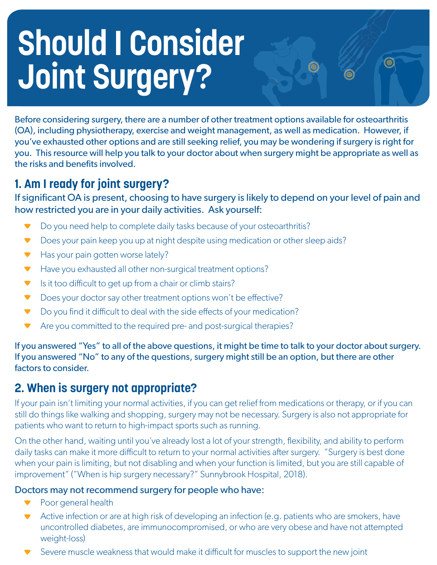# **Should I Consider Joint Surgery?**

Before considering surgery, there are a number of other treatment options available for osteoarthritis (OA), including physiotherapy, exercise and weight management, as well as medication. However, if you've exhausted other options and are still seeking relief, you may be wondering if surgery is right for you. This resource will help you talk to your doctor about when surgery might be appropriate as well as the risks and benefits involved.

O

# **1. Am I ready for joint surgery?**

If significant OA is present, choosing to have surgery is likely to depend on your level of pain and how restricted you are in your daily activities. Ask yourself:

- Do you need help to complete daily tasks because of your osteoarthritis?
- $\blacktriangledown$ Does your pain keep you up at night despite using medication or other sleep aids?
- Has your pain gotten worse lately?
- Have you exhausted all other non-surgical treatment options?
- $\blacktriangleright$  Is it too difficult to get up from a chair or climb stairs?
- Does your doctor say other treatment options won't be effective?
- $\blacktriangleright$  Do you find it difficult to deal with the side effects of your medication?
- ▼ Are you committed to the required pre- and post-surgical therapies?

If you answered "Yes" to all of the above questions, it might be time to talk to your doctor about surgery. If you answered "No" to any of the questions, surgery might still be an option, but there are other factors to consider.

# **2. When is surgery not appropriate?**

If your pain isn't limiting your normal activities, if you can get relief from medications or therapy, or if you can still do things like walking and shopping, surgery may not be necessary. Surgery is also not appropriate for patients who want to return to high-impact sports such as running.

On the other hand, waiting until you've already lost a lot of your strength, flexibility, and ability to perform daily tasks can make it more difficult to return to your normal activities after surgery. "Surgery is best done when your pain is limiting, but not disabling and when your function is limited, but you are still capable of improvement" ("When is hip surgery necessary?" Sunnybrook Hospital, 2018).

## Doctors may not recommend surgery for people who have:

- **Poor general health**
- Active infection or are at high risk of developing an infection (e.g. patients who are smokers, have uncontrolled diabetes, are immunocompromised, or who are very obese and have not attempted weight-loss)
- Severe muscle weakness that would make it difficult for muscles to support the new joint